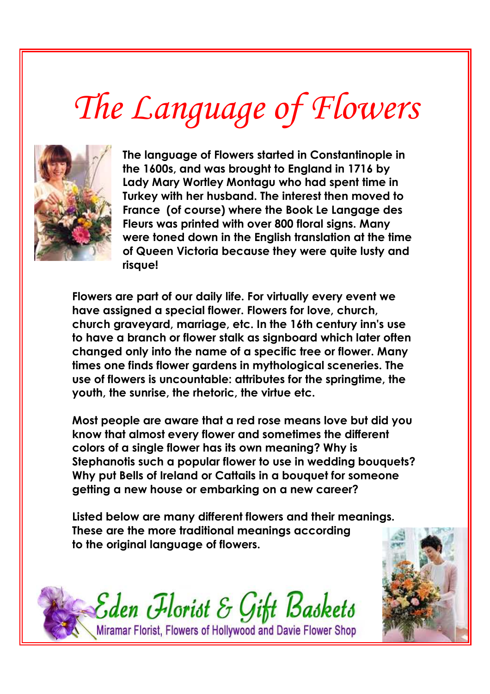## *The Language of Flowers*



**The language of Flowers started in Constantinople in the 1600s, and was brought to England in 1716 by Lady Mary Wortley Montagu who had spent time in Turkey with her husband. The interest then moved to France (of course) where the Book Le Langage des Fleurs was printed with over 800 floral signs. Many were toned down in the English translation at the time of Queen Victoria because they were quite lusty and risque!** 

**Flowers are part of our daily life. For virtually every event we have assigned a special flower. Flowers for love, church, church graveyard, marriage, etc. In the 16th century inn's use to have a branch or flower stalk as signboard which later often changed only into the name of a specific tree or flower. Many times one finds flower gardens in mythological sceneries. The use of flowers is uncountable: attributes for the springtime, the youth, the sunrise, the rhetoric, the virtue etc.** 

**Most people are aware that a red rose means love but did you know that almost every flower and sometimes the different colors of a single flower has its own meaning? Why is Stephanotis such a popular flower to use in wedding bouquets? Why put Bells of Ireland or Cattails in a bouquet for someone getting a new house or embarking on a new career?** 

**Listed below are many different flowers and their meanings. These are the more traditional meanings according to the original language of flowers.** 



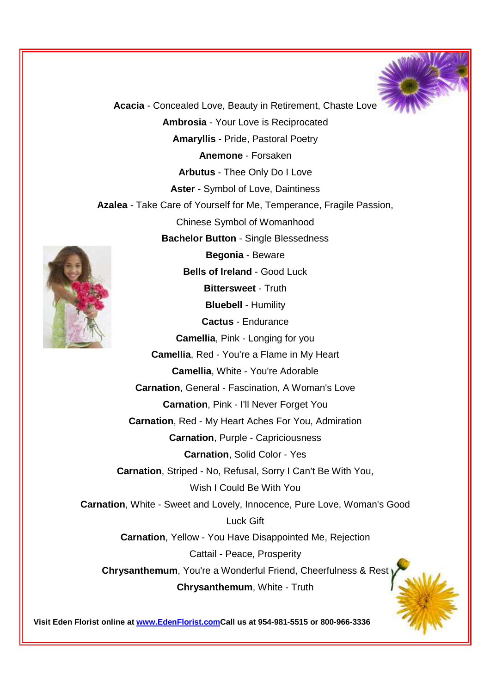

**Acacia** - Concealed Love, Beauty in Retirement, Chaste Love **Ambrosia** - Your Love is Reciprocated **Amaryllis** - Pride, Pastoral Poetry **Anemone** - Forsaken **Arbutus** - Thee Only Do I Love **Aster** - Symbol of Love, Daintiness **Azalea** - Take Care of Yourself for Me, Temperance, Fragile Passion, Chinese Symbol of Womanhood **Bachelor Button** - Single Blessedness **Begonia** - Beware **Bells of Ireland** - Good Luck **Bittersweet** - Truth **Bluebell** - Humility **Cactus** - Endurance **Camellia**, Pink - Longing for you **Camellia**, Red - You're a Flame in My Heart **Camellia**, White - You're Adorable **Carnation**, General - Fascination, A Woman's Love **Carnation**, Pink - I'll Never Forget You **Carnation**, Red - My Heart Aches For You, Admiration **Carnation**, Purple - Capriciousness **Carnation**, Solid Color - Yes **Carnation**, Striped - No, Refusal, Sorry I Can't Be With You, Wish I Could Be With You **Carnation**, White - Sweet and Lovely, Innocence, Pure Love, Woman's Good Luck Gift **Carnation**, Yellow - You Have Disappointed Me, Rejection Cattail - Peace, Prosperity **Chrysanthemum**, You're a Wonderful Friend, Cheerfulness & Rest **Chrysanthemum**, White - Truth

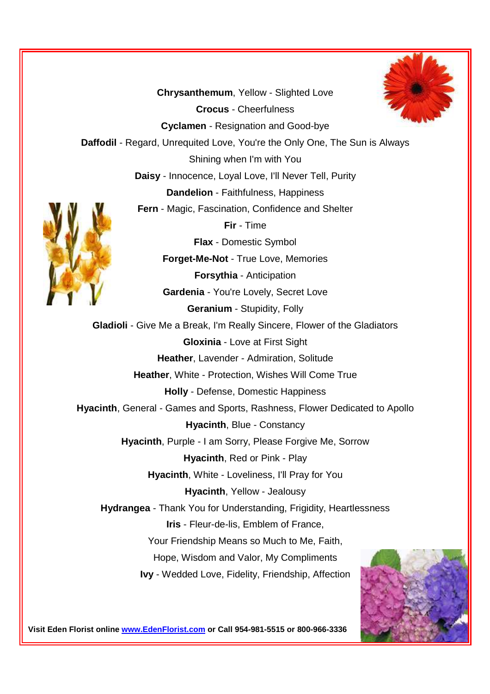**Chrysanthemum**, Yellow - Slighted Love **Crocus** - Cheerfulness **Cyclamen** - Resignation and Good-bye **Daffodil** - Regard, Unrequited Love, You're the Only One, The Sun is Always Shining when I'm with You **Daisy** - Innocence, Loyal Love, I'll Never Tell, Purity **Dandelion** - Faithfulness, Happiness **Fern** - Magic, Fascination, Confidence and Shelter **Fir** - Time **Flax** - Domestic Symbol **Forget-Me-Not** - True Love, Memories **Forsythia** - Anticipation **Gardenia** - You're Lovely, Secret Love **Geranium** - Stupidity, Folly **Gladioli** - Give Me a Break, I'm Really Sincere, Flower of the Gladiators **Gloxinia** - Love at First Sight **Heather**, Lavender - Admiration, Solitude **Heather**, White - Protection, Wishes Will Come True **Holly** - Defense, Domestic Happiness **Hyacinth**, General - Games and Sports, Rashness, Flower Dedicated to Apollo **Hyacinth**, Blue - Constancy **Hyacinth**, Purple - I am Sorry, Please Forgive Me, Sorrow **Hyacinth**, Red or Pink - Play **Hyacinth**, White - Loveliness, I'll Pray for You **Hyacinth**, Yellow - Jealousy **Hydrangea** - Thank You for Understanding, Frigidity, Heartlessness **Iris** - Fleur-de-lis, Emblem of France, Your Friendship Means so Much to Me, Faith, Hope, Wisdom and Valor, My Compliments **Ivy** - Wedded Love, Fidelity, Friendship, Affection



**Visit Eden Florist online www.EdenFlorist.com or Call 954-981-5515 or 800-966-3336**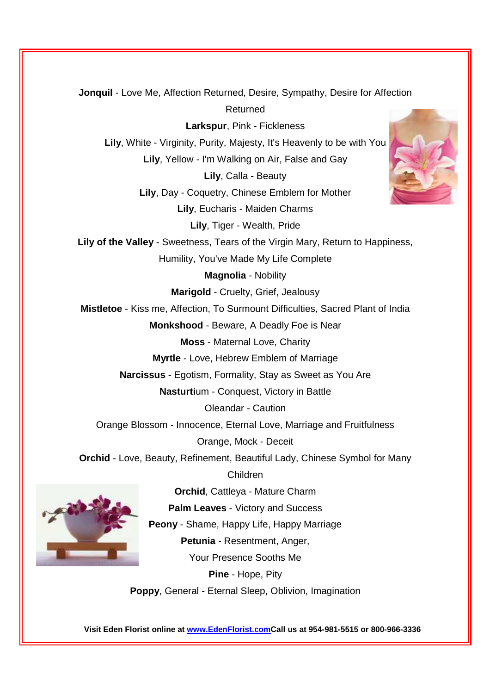**Jonquil** - Love Me, Affection Returned, Desire, Sympathy, Desire for Affection Returned **Larkspur**, Pink - Fickleness **Lily**, White - Virginity, Purity, Majesty, It's Heavenly to be with You **Lily**, Yellow - I'm Walking on Air, False and Gay **Lily**, Calla - Beauty **Lily**, Day - Coquetry, Chinese Emblem for Mother **Lily**, Eucharis - Maiden Charms **Lily**, Tiger - Wealth, Pride **Lily of the Valley** - Sweetness, Tears of the Virgin Mary, Return to Happiness, Humility, You've Made My Life Complete **Magnolia** - Nobility **Marigold** - Cruelty, Grief, Jealousy **Mistletoe** - Kiss me, Affection, To Surmount Difficulties, Sacred Plant of India **Monkshood** - Beware, A Deadly Foe is Near **Moss** - Maternal Love, Charity **Myrtle** - Love, Hebrew Emblem of Marriage **Narcissus** - Egotism, Formality, Stay as Sweet as You Are **Nasturti**um - Conquest, Victory in Battle Oleandar - Caution Orange Blossom - Innocence, Eternal Love, Marriage and Fruitfulness Orange, Mock - Deceit **Orchid** - Love, Beauty, Refinement, Beautiful Lady, Chinese Symbol for Many Children **Orchid**, Cattleya - Mature Charm **Palm Leaves** - Victory and Success **Peony** - Shame, Happy Life, Happy Marriage

**Petunia** - Resentment, Anger,

Your Presence Sooths Me

**Pine** - Hope, Pity

**Poppy**, General - Eternal Sleep, Oblivion, Imagination

**Visit Eden Florist online at www.EdenFlorist.comCall us at 954-981-5515 or 800-966-3336**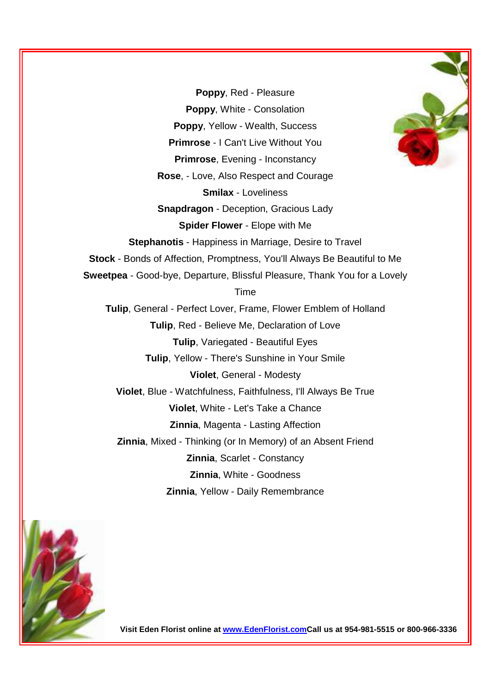**Poppy**, Red - Pleasure **Poppy**, White - Consolation **Poppy**, Yellow - Wealth, Success **Primrose** - I Can't Live Without You **Primrose**, Evening - Inconstancy **Rose**, - Love, Also Respect and Courage **Smilax** - Loveliness **Snapdragon** - Deception, Gracious Lady **Spider Flower** - Elope with Me **Stephanotis** - Happiness in Marriage, Desire to Travel **Stock** - Bonds of Affection, Promptness, You'll Always Be Beautiful to Me **Sweetpea** - Good-bye, Departure, Blissful Pleasure, Thank You for a Lovely Time **Tulip**, General - Perfect Lover, Frame, Flower Emblem of Holland **Tulip**, Red - Believe Me, Declaration of Love **Tulip**, Variegated - Beautiful Eyes **Tulip**, Yellow - There's Sunshine in Your Smile **Violet**, General - Modesty **Violet**, Blue - Watchfulness, Faithfulness, I'll Always Be True **Violet**, White - Let's Take a Chance **Zinnia**, Magenta - Lasting Affection **Zinnia**, Mixed - Thinking (or In Memory) of an Absent Friend **Zinnia**, Scarlet - Constancy **Zinnia**, White - Goodness **Zinnia**, Yellow - Daily Remembrance



**Visit Eden Florist online at www.EdenFlorist.comCall us at 954-981-5515 or 800-966-3336**